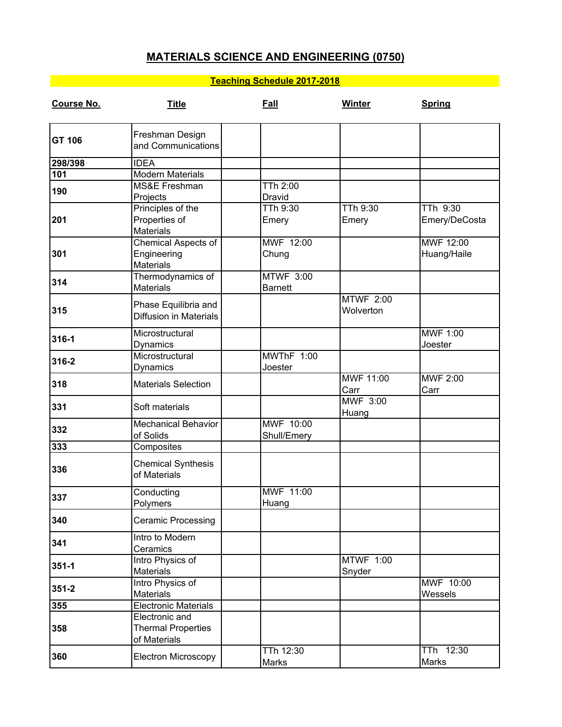## **MATERIALS SCIENCE AND ENGINEERING (0750)**

## **Teaching Schedule 2017-2018**

| Course No.    | <b>Title</b>                                                | Fall                               | Winter                        | <b>Spring</b>             |
|---------------|-------------------------------------------------------------|------------------------------------|-------------------------------|---------------------------|
| <b>GT 106</b> | Freshman Design<br>and Communications                       |                                    |                               |                           |
| 298/398       | <b>IDEA</b>                                                 |                                    |                               |                           |
| 101           | <b>Modern Materials</b>                                     |                                    |                               |                           |
| 190           | MS&E Freshman<br>Projects                                   | TTh 2:00<br>Dravid                 |                               |                           |
| 201           | Principles of the<br>Properties of<br><b>Materials</b>      | TTh 9:30<br>Emery                  | TTh 9:30<br>Emery             | TTh 9:30<br>Emery/DeCosta |
| 301           | Chemical Aspects of<br>Engineering<br><b>Materials</b>      | MWF 12:00<br>Chung                 |                               | MWF 12:00<br>Huang/Haile  |
| 314           | Thermodynamics of<br><b>Materials</b>                       | <b>MTWF 3:00</b><br><b>Barnett</b> |                               |                           |
| 315           | Phase Equilibria and<br><b>Diffusion in Materials</b>       |                                    | <b>MTWF 2:00</b><br>Wolverton |                           |
| 316-1         | Microstructural<br>Dynamics                                 |                                    |                               | MWF 1:00<br>Joester       |
| 316-2         | Microstructural<br>Dynamics                                 | MWThF 1:00<br>Joester              |                               |                           |
| 318           | <b>Materials Selection</b>                                  |                                    | MWF 11:00<br>Carr             | <b>MWF 2:00</b><br>Carr   |
| 331           | Soft materials                                              |                                    | MWF 3:00<br>Huang             |                           |
| 332           | <b>Mechanical Behavior</b><br>of Solids                     | MWF 10:00<br>Shull/Emery           |                               |                           |
| 333           | Composites                                                  |                                    |                               |                           |
| 336           | <b>Chemical Synthesis</b><br>of Materials                   |                                    |                               |                           |
| 337           | Conducting<br>Polymers                                      | MWF 11:00<br>Huang                 |                               |                           |
| 340           | <b>Ceramic Processing</b>                                   |                                    |                               |                           |
| 341           | Intro to Modern<br>Ceramics                                 |                                    |                               |                           |
| $351 - 1$     | Intro Physics of<br><b>Materials</b>                        |                                    | MTWF 1:00<br>Snyder           |                           |
| $351 - 2$     | Intro Physics of<br><b>Materials</b>                        |                                    |                               | MWF 10:00<br>Wessels      |
| 355           | Electronic Materials                                        |                                    |                               |                           |
| 358           | Electronic and<br><b>Thermal Properties</b><br>of Materials |                                    |                               |                           |
| 360           | <b>Electron Microscopy</b>                                  | TTh 12:30<br>Marks                 |                               | TTh 12:30<br>Marks        |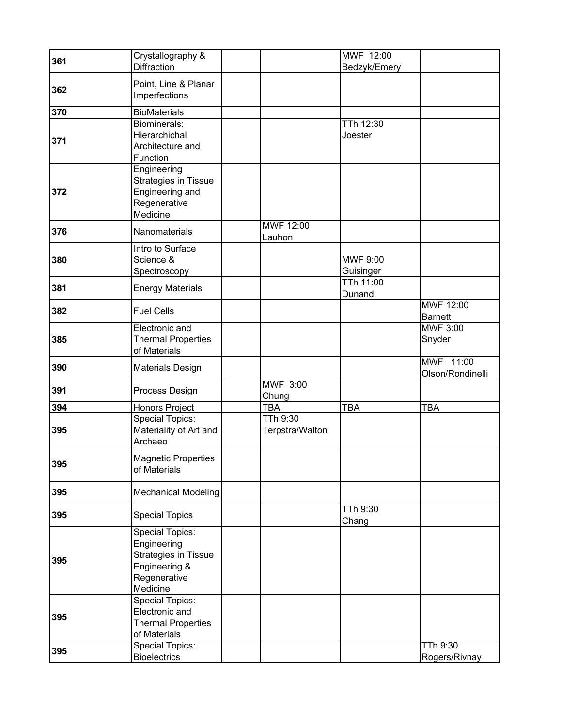| 361 | Crystallography &                                                                                          |                             | MWF 12:00             |                                  |
|-----|------------------------------------------------------------------------------------------------------------|-----------------------------|-----------------------|----------------------------------|
|     | <b>Diffraction</b>                                                                                         |                             | Bedzyk/Emery          |                                  |
| 362 | Point, Line & Planar<br>Imperfections                                                                      |                             |                       |                                  |
| 370 | <b>BioMaterials</b>                                                                                        |                             |                       |                                  |
| 371 | Biominerals:<br>Hierarchichal<br>Architecture and<br>Function                                              |                             | TTh 12:30<br>Joester  |                                  |
| 372 | Engineering<br><b>Strategies in Tissue</b><br>Engineering and<br>Regenerative<br>Medicine                  |                             |                       |                                  |
| 376 | Nanomaterials                                                                                              | MWF 12:00<br>Lauhon         |                       |                                  |
| 380 | Intro to Surface<br>Science &<br>Spectroscopy                                                              |                             | MWF 9:00<br>Guisinger |                                  |
| 381 | <b>Energy Materials</b>                                                                                    |                             | TTh 11:00<br>Dunand   |                                  |
| 382 | <b>Fuel Cells</b>                                                                                          |                             |                       | MWF 12:00<br>Barnett             |
| 385 | Electronic and<br><b>Thermal Properties</b><br>of Materials                                                |                             |                       | <b>MWF 3:00</b><br>Snyder        |
| 390 | <b>Materials Design</b>                                                                                    |                             |                       | MWF 11:00<br>Olson/Rondinelli    |
| 391 | Process Design                                                                                             | MWF 3:00<br>Chung           |                       |                                  |
| 394 | Honors Project                                                                                             | <b>TBA</b>                  | <b>TBA</b>            | <b>TBA</b>                       |
| 395 | <b>Special Topics:</b><br>Materiality of Art and<br>Archaeo                                                | TTh 9:30<br>Terpstra/Walton |                       |                                  |
| 395 | <b>Magnetic Properties</b><br>of Materials                                                                 |                             |                       |                                  |
| 395 | <b>Mechanical Modeling</b>                                                                                 |                             |                       |                                  |
| 395 | <b>Special Topics</b>                                                                                      |                             | TTh 9:30<br>Chang     |                                  |
| 395 | <b>Special Topics:</b><br>Engineering<br>Strategies in Tissue<br>Engineering &<br>Regenerative<br>Medicine |                             |                       |                                  |
| 395 | <b>Special Topics:</b><br>Electronic and<br><b>Thermal Properties</b><br>of Materials                      |                             |                       |                                  |
| 395 | <b>Special Topics:</b><br><b>Bioelectrics</b>                                                              |                             |                       | <b>TTh 9:30</b><br>Rogers/Rivnay |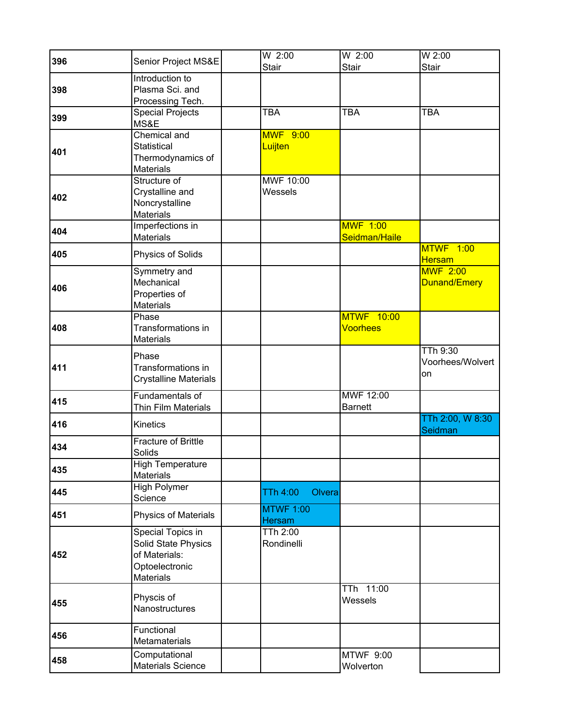| 396 | Senior Project MS&E                                                                             | W 2:00                     | W 2:00                           | $W$ 2:00                                  |
|-----|-------------------------------------------------------------------------------------------------|----------------------------|----------------------------------|-------------------------------------------|
|     |                                                                                                 | Stair                      | Stair                            | Stair                                     |
|     | Introduction to                                                                                 |                            |                                  |                                           |
| 398 | Plasma Sci. and                                                                                 |                            |                                  |                                           |
|     | Processing Tech.                                                                                |                            |                                  |                                           |
| 399 | <b>Special Projects</b><br>MS&E                                                                 | <b>TBA</b>                 | <b>TBA</b>                       | <b>TBA</b>                                |
| 401 | <b>Chemical and</b><br>Statistical<br>Thermodynamics of<br><b>Materials</b>                     | <b>MWF 9:00</b><br>Luijten |                                  |                                           |
| 402 | Structure of<br>Crystalline and<br>Noncrystalline<br><b>Materials</b>                           | MWF 10:00<br>Wessels       |                                  |                                           |
| 404 | Imperfections in<br><b>Materials</b>                                                            |                            | <b>MWF 1:00</b><br>Seidman/Haile |                                           |
| 405 | Physics of Solids                                                                               |                            |                                  | <b>MTWF 1:00</b><br><b>Hersam</b>         |
| 406 | Symmetry and<br>Mechanical<br>Properties of<br><b>Materials</b>                                 |                            |                                  | <b>MWF 2:00</b><br>Dunand/Emery           |
| 408 | Phase<br>Transformations in<br><b>Materials</b>                                                 |                            | <b>MTWF 10:00</b><br>Voorhees    |                                           |
| 411 | Phase<br>Transformations in<br>Crystalline Materials                                            |                            |                                  | <b>TTh 9:30</b><br>Voorhees/Wolvert<br>on |
| 415 | <b>Fundamentals of</b><br>Thin Film Materials                                                   |                            | MWF 12:00<br><b>Barnett</b>      |                                           |
| 416 | Kinetics                                                                                        |                            |                                  | TTh 2:00, W 8:30<br>Seidman               |
| 434 | Fracture of Brittle<br>Solids                                                                   |                            |                                  |                                           |
| 435 | <b>High Temperature</b><br><b>Materials</b>                                                     |                            |                                  |                                           |
| 445 | High Polymer<br>Science                                                                         | TTh 4:00<br>Olvera         |                                  |                                           |
| 451 | Physics of Materials                                                                            | <b>MTWF 1:00</b><br>Hersam |                                  |                                           |
| 452 | Special Topics in<br>Solid State Physics<br>of Materials:<br>Optoelectronic<br><b>Materials</b> | TTh 2:00<br>Rondinelli     |                                  |                                           |
| 455 | Physcis of<br>Nanostructures                                                                    |                            | TTh 11:00<br>Wessels             |                                           |
| 456 | Functional<br>Metamaterials                                                                     |                            |                                  |                                           |
| 458 | Computational<br>Materials Science                                                              |                            | MTWF 9:00<br>Wolverton           |                                           |